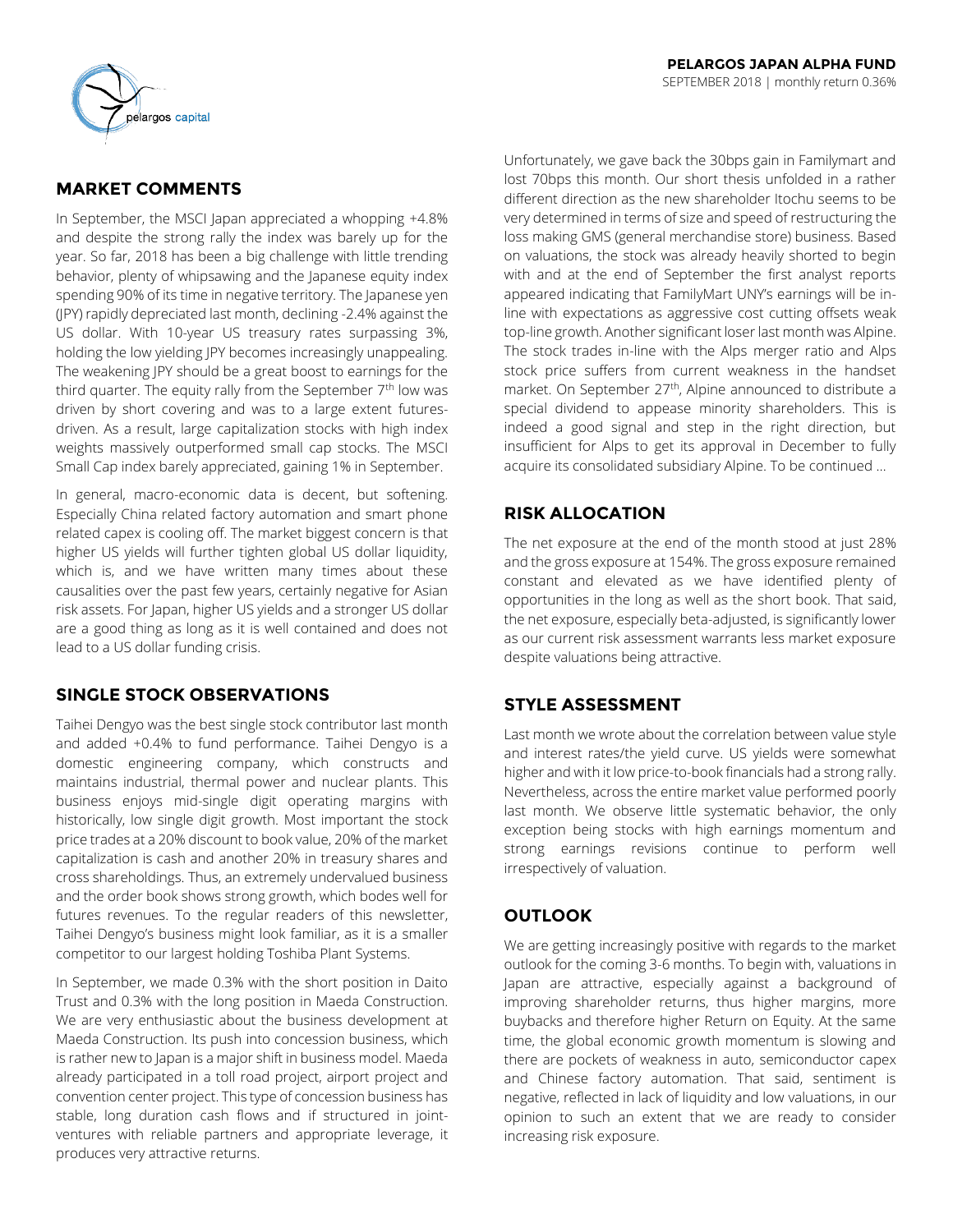

# **MARKET COMMENTS**

In September, the MSCI Japan appreciated a whopping +4.8% and despite the strong rally the index was barely up for the year. So far, 2018 has been a big challenge with little trending behavior, plenty of whipsawing and the Japanese equity index spending 90% of its time in negative territory. The Japanese yen (JPY) rapidly depreciated last month, declining -2.4% against the US dollar. With 10-year US treasury rates surpassing 3%, holding the low yielding JPY becomes increasingly unappealing. The weakening JPY should be a great boost to earnings for the third quarter. The equity rally from the September  $7<sup>th</sup>$  low was driven by short covering and was to a large extent futuresdriven. As a result, large capitalization stocks with high index weights massively outperformed small cap stocks. The MSCI Small Cap index barely appreciated, gaining 1% in September.

In general, macro-economic data is decent, but softening. Especially China related factory automation and smart phone related capex is cooling off. The market biggest concern is that higher US yields will further tighten global US dollar liquidity, which is, and we have written many times about these causalities over the past few years, certainly negative for Asian risk assets. For Japan, higher US yields and a stronger US dollar are a good thing as long as it is well contained and does not lead to a US dollar funding crisis.

## **SINGLE STOCK OBSERVATIONS**

Taihei Dengyo was the best single stock contributor last month and added +0.4% to fund performance. Taihei Dengyo is a domestic engineering company, which constructs and maintains industrial, thermal power and nuclear plants. This business enjoys mid-single digit operating margins with historically, low single digit growth. Most important the stock price trades at a 20% discount to book value, 20% of the market capitalization is cash and another 20% in treasury shares and cross shareholdings. Thus, an extremely undervalued business and the order book shows strong growth, which bodes well for futures revenues. To the regular readers of this newsletter, Taihei Dengyo's business might look familiar, as it is a smaller competitor to our largest holding Toshiba Plant Systems.

In September, we made 0.3% with the short position in Daito Trust and 0.3% with the long position in Maeda Construction. We are very enthusiastic about the business development at Maeda Construction. Its push into concession business, which is rather new to Japan is a major shift in business model. Maeda already participated in a toll road project, airport project and convention center project. This type of concession business has stable, long duration cash flows and if structured in jointventures with reliable partners and appropriate leverage, it produces very attractive returns.

Unfortunately, we gave back the 30bps gain in Familymart and lost 70bps this month. Our short thesis unfolded in a rather different direction as the new shareholder Itochu seems to be very determined in terms of size and speed of restructuring the loss making GMS (general merchandise store) business. Based on valuations, the stock was already heavily shorted to begin with and at the end of September the first analyst reports appeared indicating that FamilyMart UNY's earnings will be inline with expectations as aggressive cost cutting offsets weak top-line growth. Another significant loser last month was Alpine. The stock trades in-line with the Alps merger ratio and Alps stock price suffers from current weakness in the handset market. On September 27<sup>th</sup>, Alpine announced to distribute a special dividend to appease minority shareholders. This is indeed a good signal and step in the right direction, but insufficient for Alps to get its approval in December to fully acquire its consolidated subsidiary Alpine. To be continued …

# **RISK ALLOCATION**

The net exposure at the end of the month stood at just 28% and the gross exposure at 154%. The gross exposure remained constant and elevated as we have identified plenty of opportunities in the long as well as the short book. That said, the net exposure, especially beta-adjusted, is significantly lower as our current risk assessment warrants less market exposure despite valuations being attractive.

## **STYLE ASSESSMENT**

Last month we wrote about the correlation between value style and interest rates/the yield curve. US yields were somewhat higher and with it low price-to-book financials had a strong rally. Nevertheless, across the entire market value performed poorly last month. We observe little systematic behavior, the only exception being stocks with high earnings momentum and strong earnings revisions continue to perform well irrespectively of valuation.

## **OUTLOOK**

We are getting increasingly positive with regards to the market outlook for the coming 3-6 months. To begin with, valuations in Japan are attractive, especially against a background of improving shareholder returns, thus higher margins, more buybacks and therefore higher Return on Equity. At the same time, the global economic growth momentum is slowing and there are pockets of weakness in auto, semiconductor capex and Chinese factory automation. That said, sentiment is negative, reflected in lack of liquidity and low valuations, in our opinion to such an extent that we are ready to consider increasing risk exposure.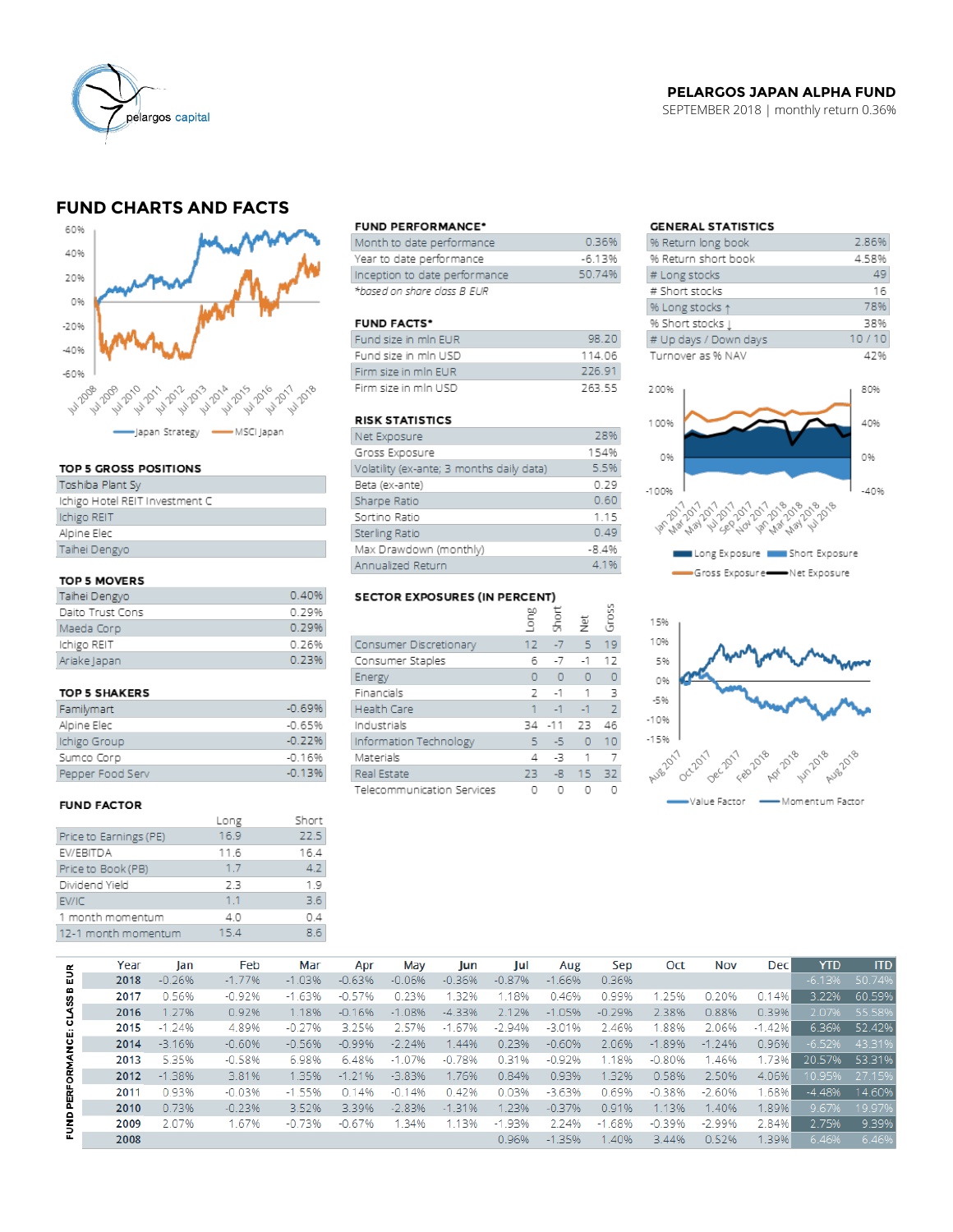

## **PELARGOS JAPAN ALPHA FUND**

SEPTEMBER 2018 | monthly return 0.36%

# **FUND CHARTS AND FACTS**



#### TOP 5 GROSS POSITIONS

| Toshiba Plant Sy               |
|--------------------------------|
| Ichigo Hotel REIT Investment C |
| Ichigo REIT                    |
| Alpine Elec                    |
| Taihei Dengyo                  |
|                                |

### TOP 5 MOVERS

| Taihei Dengyo    | 0.40% |
|------------------|-------|
| Daito Trust Cons | 0.29% |
| Maeda Corp       | 0.29% |
| Ichigo REIT      | 0.76% |
| Ariake Japan     | 0.23% |

#### TOP 5 SHAKERS

| Familymart       | $-0.69%$ |
|------------------|----------|
| Alpine Elec      | $-0.65%$ |
| Ichigo Group     | $-0.22%$ |
| Sumco Corp       | $-0.16%$ |
| Pepper Food Serv | $-0.13%$ |

#### **FUND FACTOR**

|                        | Long | Short |
|------------------------|------|-------|
| Price to Earnings (PE) | 16.9 | 22.5  |
| EV/EBITDA              | 11.6 | 16.4  |
| Price to Book (PB)     | 1.7  | 4.2   |
| Dividend Yield         | 23   | 19    |
| EV/IC                  | 11   | 36    |
| 1 month momentum       | 4.0  | 04    |
| 12-1 month momentum    | 15.4 | 86    |
|                        |      |       |

#### **FUND PERFORMANCE\***

| Month to date performance     | 0.36%    |
|-------------------------------|----------|
| Year to date performance      | $-6.13%$ |
| Inception to date performance | 50.74%   |
| *based on share class B EUR   |          |

#### **FUND FACTS\***

| Fund size in min EUR | 98.20  |
|----------------------|--------|
| Fund size in mln USD | 114 06 |
| Firm size in min FUR | 226.91 |
| Firm size in min USD | 263.55 |

## **RISK STATISTICS**

| Net Exposure                              | 28%     |
|-------------------------------------------|---------|
| Gross Exposure                            | 154%    |
| Volatility (ex-ante; 3 months daily data) | 5.5%    |
| Beta (ex-ante)                            | 0.29    |
| Sharpe Ratio                              | 0.60    |
| Sortino Ratio                             | 1.15    |
| Sterling Ratio                            | 0.49    |
| Max Drawdown (monthly)                    | $-8.4%$ |
| Annualized Return                         | 4.1%    |

# SECTOR EXPOSURES (IN PERCENT)

|                            | ξ      | Ğ<br>Shōi | 英         | Ğ              |
|----------------------------|--------|-----------|-----------|----------------|
| Consumer Discretionary     | $12 -$ | $-7$      | 5.        | 19             |
| Consumer Staples           | 6      | $-7$      | $-1$      | 12             |
| Energy                     | O      | $\Omega$  | $\bullet$ | O              |
| Financials                 | 2      | $-1$      | 1         | 3              |
| <b>Health Care</b>         |        | $-1$      | $-1$      | $\overline{z}$ |
| Industrials                | 34     | $-11$     | 23        | 46             |
| Information Technology     | 5      | -5        | $\circ$   | 10             |
| Materials                  | 4      | -3        | 1         |                |
| Real Estate                | 23     | $-8$      | 15        | 32             |
| Telecommunication Services |        |           |           |                |

 $\overline{2}$ 

## **GENERAL STATISTICS**

| % Return long book     | 2.86% |
|------------------------|-------|
| % Return short book    | 4.58% |
| # Long stocks          | 49    |
| # Short stocks         | 16    |
| % Long stocks 1        | 78%   |
| % Short stocks $\perp$ | 38%   |
| # Up days / Down days  | 10/10 |
| Turnover as % NAV      | 47%   |
|                        |       |





|                     | Year | lan      | Feb      | Mar      | Apr      | May      | Jun      | lul      | Aug      | Sep        | Oct      | Nov      | <b>Dec</b> | <b>YTD</b> | <b>ITD</b> |
|---------------------|------|----------|----------|----------|----------|----------|----------|----------|----------|------------|----------|----------|------------|------------|------------|
| 틦<br><b>CLASS B</b> | 2018 | $-0.26%$ | $-1.77%$ | $-1.03%$ | $-0.63%$ | $-0.06%$ | $-0.36%$ | $-0.87%$ | $-1.66%$ | 0.36%      |          |          |            | $-6.13%$   | 50.74%     |
|                     | 2017 | 0.56%    | $-0.92%$ | $-1.63%$ | $-0.57%$ | 0.23%    | .32%     | 1.18%    | 0.46%    | 0.99%      | 1.25%    | 0.20%    | 0.14%      | 3.22%      | 60.59%     |
|                     | 2016 | 1.27%    | 0.92%    | 1.18%    | $-0.16%$ | $-1.08%$ | $-4.33%$ | 2.12%    | $-1.05%$ | $-0.29%$   | 2.38%    | 0.88%    | 0.39%      | 2.07%      | 55.58%     |
| FUND PERFORMANCE:   | 2015 | $-1.24%$ | 4.89%    | $-0.27%$ | 3.25%    | 2.57%    | $-1.67%$ | $-2.94%$ | $-3.01%$ | 2.46%      | .88%     | 2.06%    | $-1.42\%$  | 6.36%      | 52.42%     |
|                     | 2014 | $-3.16%$ | $-0.60%$ | $-0.56%$ | $-0.99%$ | $-2.24%$ | 1.44%    | 0.23%    | $-0.60%$ | 2.06%      | $-1.89%$ | $-1.24%$ | 0.96%      | $-6.52%$   | 43.31%     |
|                     | 2013 | 5.35%    | $-0.58%$ | 6.98%    | 6.48%    | $-1.07%$ | $-0.78%$ | 0.31%    | $-0.92%$ | 1.18%      | $-0.80%$ | 1.46%    | 1.73%      | 20.57%     | 53.31%     |
|                     | 2012 | $-1.38%$ | 3.81%    | 1.35%    | $-1.21%$ | $-3.83%$ | 1.76%    | 0.84%    | 0.93%    | 1.32%      | 0.58%    | 2.50%    | 4.06%      | 10.95%     | 27.15%     |
|                     | 2011 | 0.93%    | $-0.03%$ | $-1.55%$ | 0.14%    | $-0.14%$ | 0.42%    | 0.03%    | $-3.63%$ | 0.69%      | $-0.38%$ | $-2.60%$ | .68%       | $-4.48%$   | 14.60%     |
|                     | 2010 | 0.73%    | $-0.23%$ | 3.52%    | 3.39%    | $-2.83%$ | $-1.31%$ | 1.23%    | $-0.37%$ | 0.91%      | 1.13%    | 1.40%    | 1.89%      | 9.67%      | 19.97%     |
|                     | 2009 | 2.07%    | 1.67%    | $-0.73%$ | $-0.67%$ | .34%     | 1.13%    | $-1.93%$ | 2.24%    | .68%<br>-1 | $-0.39%$ | $-2.99%$ | 2.84%      | 2.75%      | 9.39%      |
|                     | 2008 |          |          |          |          |          |          | 0.96%    | $-1.35%$ | 1.40%      | 3.44%    | 0.52%    | 1.39%      | 6.46%      | 6.46%      |